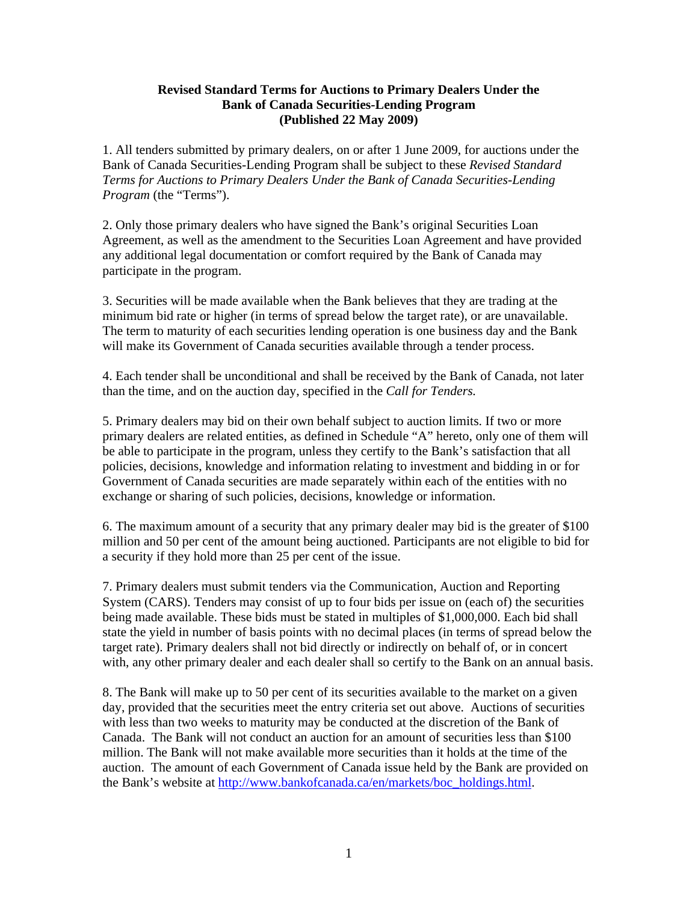#### **Revised Standard Terms for Auctions to Primary Dealers Under the Bank of Canada Securities-Lending Program (Published 22 May 2009)**

1. All tenders submitted by primary dealers, on or after 1 June 2009, for auctions under the Bank of Canada Securities-Lending Program shall be subject to these *Revised Standard Terms for Auctions to Primary Dealers Under the Bank of Canada Securities-Lending Program* (the "Terms").

2. Only those primary dealers who have signed the Bank's original Securities Loan Agreement, as well as the amendment to the Securities Loan Agreement and have provided any additional legal documentation or comfort required by the Bank of Canada may participate in the program.

3. Securities will be made available when the Bank believes that they are trading at the minimum bid rate or higher (in terms of spread below the target rate), or are unavailable. The term to maturity of each securities lending operation is one business day and the Bank will make its Government of Canada securities available through a tender process.

4. Each tender shall be unconditional and shall be received by the Bank of Canada, not later than the time, and on the auction day, specified in the *Call for Tenders.* 

5. Primary dealers may bid on their own behalf subject to auction limits. If two or more primary dealers are related entities, as defined in Schedule "A" hereto, only one of them will be able to participate in the program, unless they certify to the Bank's satisfaction that all policies, decisions, knowledge and information relating to investment and bidding in or for Government of Canada securities are made separately within each of the entities with no exchange or sharing of such policies, decisions, knowledge or information.

6. The maximum amount of a security that any primary dealer may bid is the greater of \$100 million and 50 per cent of the amount being auctioned. Participants are not eligible to bid for a security if they hold more than 25 per cent of the issue.

7. Primary dealers must submit tenders via the Communication, Auction and Reporting System (CARS). Tenders may consist of up to four bids per issue on (each of) the securities being made available. These bids must be stated in multiples of \$1,000,000. Each bid shall state the yield in number of basis points with no decimal places (in terms of spread below the target rate). Primary dealers shall not bid directly or indirectly on behalf of, or in concert with, any other primary dealer and each dealer shall so certify to the Bank on an annual basis.

8. The Bank will make up to 50 per cent of its securities available to the market on a given day, provided that the securities meet the entry criteria set out above. Auctions of securities with less than two weeks to maturity may be conducted at the discretion of the Bank of Canada. The Bank will not conduct an auction for an amount of securities less than \$100 million. The Bank will not make available more securities than it holds at the time of the auction. The amount of each Government of Canada issue held by the Bank are provided on the Bank's website at [http://www.bankofcanada.ca/en/markets/boc\\_holdings.html.](http://www.bankofcanada.ca/en/markets/boc_holdings.html)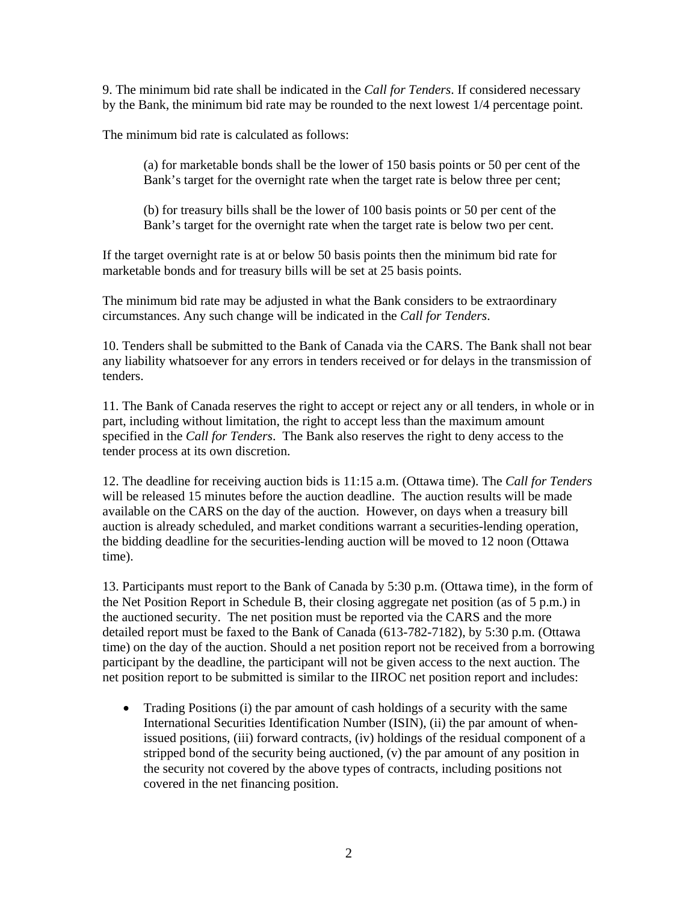9. The minimum bid rate shall be indicated in the *Call for Tenders*. If considered necessary by the Bank, the minimum bid rate may be rounded to the next lowest 1/4 percentage point.

The minimum bid rate is calculated as follows:

(a) for marketable bonds shall be the lower of 150 basis points or 50 per cent of the Bank's target for the overnight rate when the target rate is below three per cent;

(b) for treasury bills shall be the lower of 100 basis points or 50 per cent of the Bank's target for the overnight rate when the target rate is below two per cent.

If the target overnight rate is at or below 50 basis points then the minimum bid rate for marketable bonds and for treasury bills will be set at 25 basis points.

The minimum bid rate may be adjusted in what the Bank considers to be extraordinary circumstances. Any such change will be indicated in the *Call for Tenders*.

10. Tenders shall be submitted to the Bank of Canada via the CARS. The Bank shall not bear any liability whatsoever for any errors in tenders received or for delays in the transmission of tenders.

11. The Bank of Canada reserves the right to accept or reject any or all tenders, in whole or in part, including without limitation, the right to accept less than the maximum amount specified in the *Call for Tenders*. The Bank also reserves the right to deny access to the tender process at its own discretion.

12. The deadline for receiving auction bids is 11:15 a.m. (Ottawa time). The *Call for Tenders* will be released 15 minutes before the auction deadline. The auction results will be made available on the CARS on the day of the auction. However, on days when a treasury bill auction is already scheduled, and market conditions warrant a securities-lending operation, the bidding deadline for the securities-lending auction will be moved to 12 noon (Ottawa time).

13. Participants must report to the Bank of Canada by 5:30 p.m. (Ottawa time), in the form of the Net Position Report in Schedule B, their closing aggregate net position (as of 5 p.m.) in the auctioned security. The net position must be reported via the CARS and the more detailed report must be faxed to the Bank of Canada (613-782-7182), by 5:30 p.m. (Ottawa time) on the day of the auction. Should a net position report not be received from a borrowing participant by the deadline, the participant will not be given access to the next auction. The net position report to be submitted is similar to the IIROC net position report and includes:

• Trading Positions (i) the par amount of cash holdings of a security with the same International Securities Identification Number (ISIN), (ii) the par amount of whenissued positions, (iii) forward contracts, (iv) holdings of the residual component of a stripped bond of the security being auctioned, (v) the par amount of any position in the security not covered by the above types of contracts, including positions not covered in the net financing position.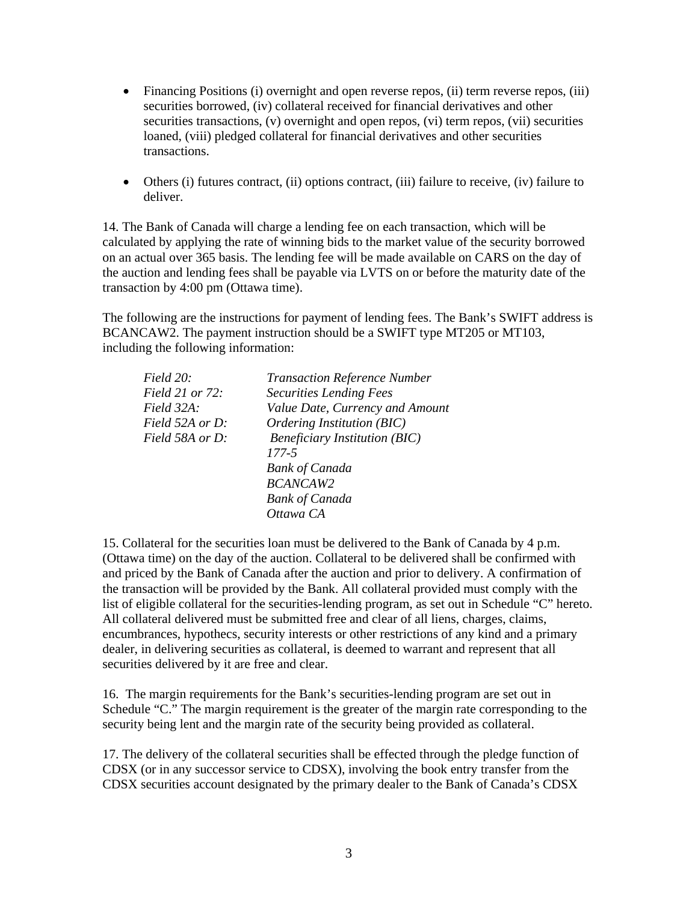- Financing Positions (i) overnight and open reverse repos, (ii) term reverse repos, (iii) securities borrowed, (iv) collateral received for financial derivatives and other securities transactions, (v) overnight and open repos, (vi) term repos, (vii) securities loaned, (viii) pledged collateral for financial derivatives and other securities transactions.
- Others (i) futures contract, (ii) options contract, (iii) failure to receive, (iv) failure to deliver.

14. The Bank of Canada will charge a lending fee on each transaction, which will be calculated by applying the rate of winning bids to the market value of the security borrowed on an actual over 365 basis. The lending fee will be made available on CARS on the day of the auction and lending fees shall be payable via LVTS on or before the maturity date of the transaction by 4:00 pm (Ottawa time).

The following are the instructions for payment of lending fees. The Bank's SWIFT address is BCANCAW2. The payment instruction should be a SWIFT type MT205 or MT103, including the following information:

| Field 20:              | <b>Transaction Reference Number</b>  |
|------------------------|--------------------------------------|
| <i>Field 21 or 72:</i> | <b>Securities Lending Fees</b>       |
| Field 32A:             | Value Date, Currency and Amount      |
| Field 52A or D:        | Ordering Institution (BIC)           |
| Field 58A or D:        | <b>Beneficiary Institution (BIC)</b> |
|                        | 177-5                                |
|                        | <b>Bank of Canada</b>                |
|                        | <b>BCANCAW2</b>                      |
|                        | <b>Bank of Canada</b>                |
|                        | Ottawa CA                            |

15. Collateral for the securities loan must be delivered to the Bank of Canada by 4 p.m. (Ottawa time) on the day of the auction. Collateral to be delivered shall be confirmed with and priced by the Bank of Canada after the auction and prior to delivery. A confirmation of the transaction will be provided by the Bank. All collateral provided must comply with the list of eligible collateral for the securities-lending program, as set out in Schedule "C" hereto. All collateral delivered must be submitted free and clear of all liens, charges, claims, encumbrances, hypothecs, security interests or other restrictions of any kind and a primary dealer, in delivering securities as collateral, is deemed to warrant and represent that all securities delivered by it are free and clear.

16. The margin requirements for the Bank's securities-lending program are set out in Schedule "C." The margin requirement is the greater of the margin rate corresponding to the security being lent and the margin rate of the security being provided as collateral.

17. The delivery of the collateral securities shall be effected through the pledge function of CDSX (or in any successor service to CDSX), involving the book entry transfer from the CDSX securities account designated by the primary dealer to the Bank of Canada's CDSX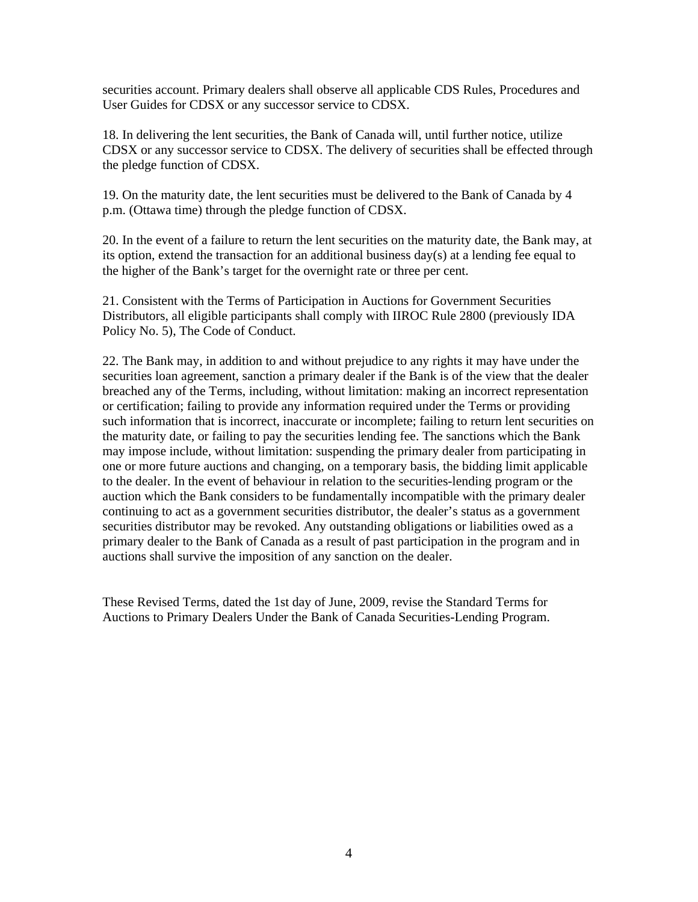securities account. Primary dealers shall observe all applicable CDS Rules, Procedures and User Guides for CDSX or any successor service to CDSX.

18. In delivering the lent securities, the Bank of Canada will, until further notice, utilize CDSX or any successor service to CDSX. The delivery of securities shall be effected through the pledge function of CDSX.

19. On the maturity date, the lent securities must be delivered to the Bank of Canada by 4 p.m. (Ottawa time) through the pledge function of CDSX.

20. In the event of a failure to return the lent securities on the maturity date, the Bank may, at its option, extend the transaction for an additional business  $day(s)$  at a lending fee equal to the higher of the Bank's target for the overnight rate or three per cent.

21. Consistent with the Terms of Participation in Auctions for Government Securities Distributors, all eligible participants shall comply with IIROC Rule 2800 (previously IDA Policy No. 5), The Code of Conduct.

22. The Bank may, in addition to and without prejudice to any rights it may have under the securities loan agreement, sanction a primary dealer if the Bank is of the view that the dealer breached any of the Terms, including, without limitation: making an incorrect representation or certification; failing to provide any information required under the Terms or providing such information that is incorrect, inaccurate or incomplete; failing to return lent securities on the maturity date, or failing to pay the securities lending fee. The sanctions which the Bank may impose include, without limitation: suspending the primary dealer from participating in one or more future auctions and changing, on a temporary basis, the bidding limit applicable to the dealer. In the event of behaviour in relation to the securities-lending program or the auction which the Bank considers to be fundamentally incompatible with the primary dealer continuing to act as a government securities distributor, the dealer's status as a government securities distributor may be revoked. Any outstanding obligations or liabilities owed as a primary dealer to the Bank of Canada as a result of past participation in the program and in auctions shall survive the imposition of any sanction on the dealer.

These Revised Terms, dated the 1st day of June, 2009, revise the Standard Terms for Auctions to Primary Dealers Under the Bank of Canada Securities-Lending Program.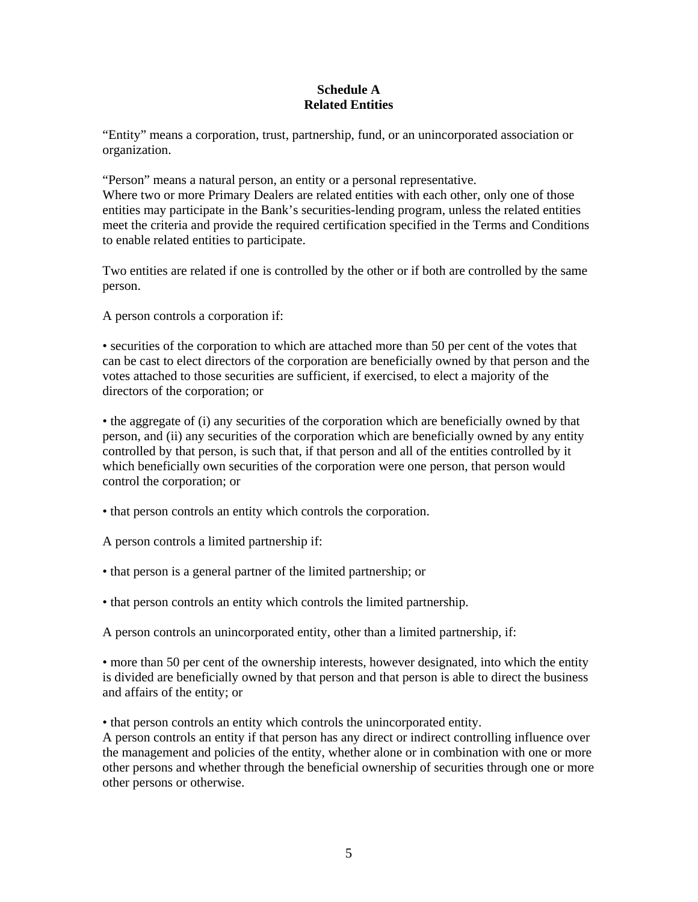## **Schedule A Related Entities**

"Entity" means a corporation, trust, partnership, fund, or an unincorporated association or organization.

"Person" means a natural person, an entity or a personal representative. Where two or more Primary Dealers are related entities with each other, only one of those entities may participate in the Bank's securities-lending program, unless the related entities meet the criteria and provide the required certification specified in the Terms and Conditions to enable related entities to participate.

Two entities are related if one is controlled by the other or if both are controlled by the same person.

A person controls a corporation if:

• securities of the corporation to which are attached more than 50 per cent of the votes that can be cast to elect directors of the corporation are beneficially owned by that person and the votes attached to those securities are sufficient, if exercised, to elect a majority of the directors of the corporation; or

• the aggregate of (i) any securities of the corporation which are beneficially owned by that person, and (ii) any securities of the corporation which are beneficially owned by any entity controlled by that person, is such that, if that person and all of the entities controlled by it which beneficially own securities of the corporation were one person, that person would control the corporation; or

• that person controls an entity which controls the corporation.

A person controls a limited partnership if:

- that person is a general partner of the limited partnership; or
- that person controls an entity which controls the limited partnership.

A person controls an unincorporated entity, other than a limited partnership, if:

• more than 50 per cent of the ownership interests, however designated, into which the entity is divided are beneficially owned by that person and that person is able to direct the business and affairs of the entity; or

• that person controls an entity which controls the unincorporated entity.

A person controls an entity if that person has any direct or indirect controlling influence over the management and policies of the entity, whether alone or in combination with one or more other persons and whether through the beneficial ownership of securities through one or more other persons or otherwise.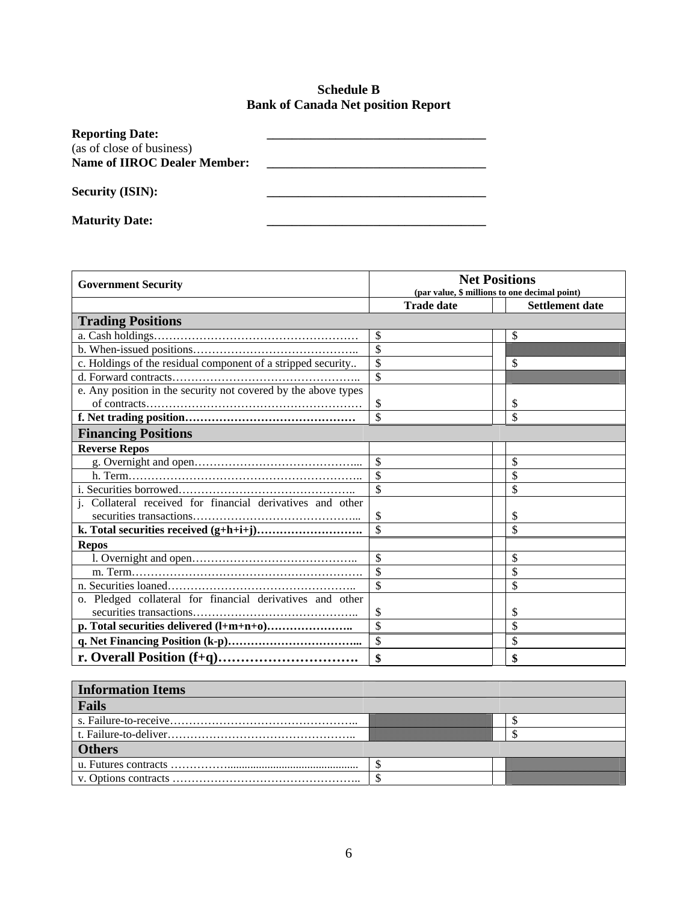# **Schedule B Bank of Canada Net position Report**

| <b>Reporting Date:</b>              |  |
|-------------------------------------|--|
| (as of close of business)           |  |
| <b>Name of IIROC Dealer Member:</b> |  |
|                                     |  |
| <b>Security (ISIN):</b>             |  |
|                                     |  |
|                                     |  |
| <b>Maturity Date:</b>               |  |

| <b>Government Security</b>                                         | <b>Net Positions</b><br>(par value, \$ millions to one decimal point) |                        |  |  |
|--------------------------------------------------------------------|-----------------------------------------------------------------------|------------------------|--|--|
|                                                                    | <b>Trade date</b>                                                     | <b>Settlement date</b> |  |  |
| <b>Trading Positions</b>                                           |                                                                       |                        |  |  |
|                                                                    | \$                                                                    | \$                     |  |  |
|                                                                    | \$                                                                    |                        |  |  |
| c. Holdings of the residual component of a stripped security       | \$                                                                    | \$                     |  |  |
|                                                                    | \$                                                                    |                        |  |  |
| e. Any position in the security not covered by the above types     |                                                                       |                        |  |  |
|                                                                    | \$                                                                    | \$                     |  |  |
|                                                                    |                                                                       | \$                     |  |  |
| <b>Financing Positions</b>                                         |                                                                       |                        |  |  |
| <b>Reverse Repos</b>                                               |                                                                       |                        |  |  |
|                                                                    | \$                                                                    | \$                     |  |  |
|                                                                    |                                                                       |                        |  |  |
|                                                                    |                                                                       | \$                     |  |  |
| <i>i</i> . Collateral received for financial derivatives and other |                                                                       |                        |  |  |
|                                                                    | $\mathcal{S}$                                                         | \$                     |  |  |
|                                                                    | $\overline{\mathbf{s}}$                                               | \$                     |  |  |
| <b>Repos</b>                                                       |                                                                       |                        |  |  |
|                                                                    | $\mathcal{S}$                                                         | \$                     |  |  |
|                                                                    | $\overline{\mathbf{s}}$                                               | \$                     |  |  |
|                                                                    |                                                                       | \$                     |  |  |
| o. Pledged collateral for financial derivatives and other          |                                                                       |                        |  |  |
|                                                                    | \$                                                                    | S                      |  |  |
|                                                                    |                                                                       | \$                     |  |  |
|                                                                    |                                                                       | \$                     |  |  |
|                                                                    |                                                                       | \$                     |  |  |

| <b>Information Items</b> |  |  |
|--------------------------|--|--|
| Fails                    |  |  |
|                          |  |  |
|                          |  |  |
| <b>Others</b>            |  |  |
|                          |  |  |
|                          |  |  |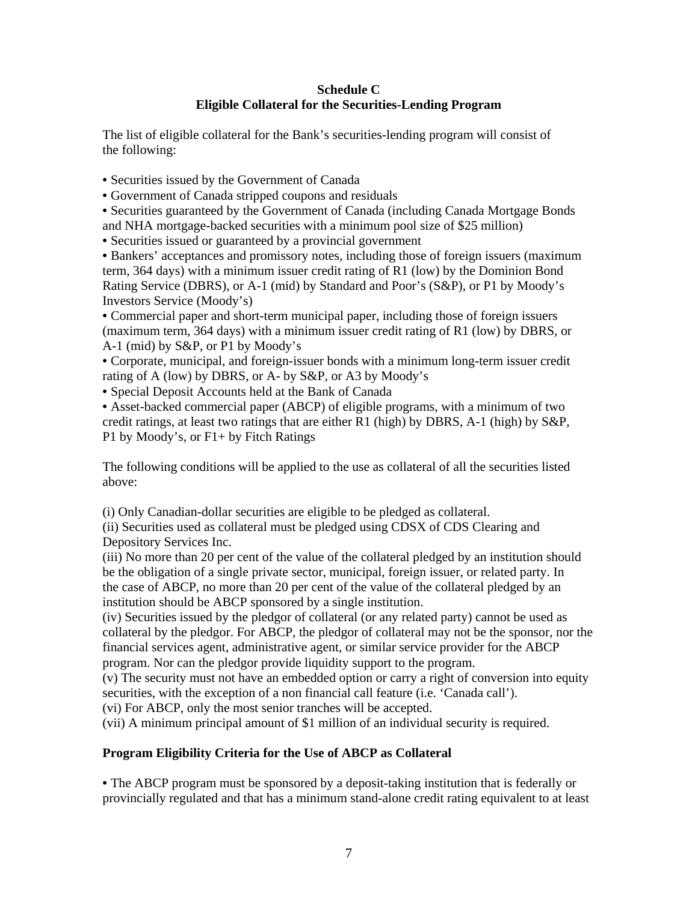## **Schedule C Eligible Collateral for the Securities-Lending Program**

The list of eligible collateral for the Bank's securities-lending program will consist of the following:

- Securities issued by the Government of Canada
- Government of Canada stripped coupons and residuals

• Securities guaranteed by the Government of Canada (including Canada Mortgage Bonds and NHA mortgage-backed securities with a minimum pool size of \$25 million)

• Securities issued or guaranteed by a provincial government

• Bankers' acceptances and promissory notes, including those of foreign issuers (maximum term, 364 days) with a minimum issuer credit rating of R1 (low) by the Dominion Bond Rating Service (DBRS), or A-1 (mid) by Standard and Poor's (S&P), or P1 by Moody's Investors Service (Moody's)

• Commercial paper and short-term municipal paper, including those of foreign issuers (maximum term, 364 days) with a minimum issuer credit rating of R1 (low) by DBRS, or A-1 (mid) by S&P, or P1 by Moody's

• Corporate, municipal, and foreign-issuer bonds with a minimum long-term issuer credit rating of A (low) by DBRS, or A- by S&P, or A3 by Moody's

• Special Deposit Accounts held at the Bank of Canada

• Asset-backed commercial paper (ABCP) of eligible programs, with a minimum of two credit ratings, at least two ratings that are either R1 (high) by DBRS, A-1 (high) by S&P, P1 by Moody's, or F1+ by Fitch Ratings

The following conditions will be applied to the use as collateral of all the securities listed above:

(i) Only Canadian-dollar securities are eligible to be pledged as collateral.

(ii) Securities used as collateral must be pledged using CDSX of CDS Clearing and Depository Services Inc.

(iii) No more than 20 per cent of the value of the collateral pledged by an institution should be the obligation of a single private sector, municipal, foreign issuer, or related party. In the case of ABCP, no more than 20 per cent of the value of the collateral pledged by an institution should be ABCP sponsored by a single institution.

(iv) Securities issued by the pledgor of collateral (or any related party) cannot be used as collateral by the pledgor. For ABCP, the pledgor of collateral may not be the sponsor, nor the financial services agent, administrative agent, or similar service provider for the ABCP program. Nor can the pledgor provide liquidity support to the program.

(v) The security must not have an embedded option or carry a right of conversion into equity securities, with the exception of a non financial call feature (i.e. 'Canada call').

(vi) For ABCP, only the most senior tranches will be accepted.

(vii) A minimum principal amount of \$1 million of an individual security is required.

#### **Program Eligibility Criteria for the Use of ABCP as Collateral**

• The ABCP program must be sponsored by a deposit-taking institution that is federally or provincially regulated and that has a minimum stand-alone credit rating equivalent to at least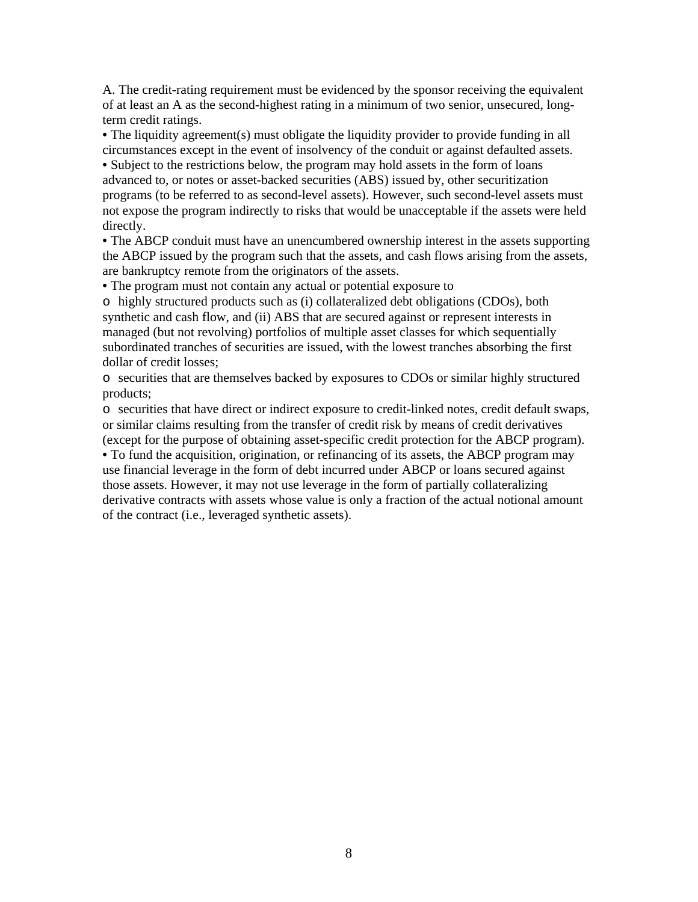A. The credit-rating requirement must be evidenced by the sponsor receiving the equivalent of at least an A as the second-highest rating in a minimum of two senior, unsecured, longterm credit ratings.

• The liquidity agreement(s) must obligate the liquidity provider to provide funding in all circumstances except in the event of insolvency of the conduit or against defaulted assets.

• Subject to the restrictions below, the program may hold assets in the form of loans advanced to, or notes or asset-backed securities (ABS) issued by, other securitization programs (to be referred to as second-level assets). However, such second-level assets must not expose the program indirectly to risks that would be unacceptable if the assets were held directly.

• The ABCP conduit must have an unencumbered ownership interest in the assets supporting the ABCP issued by the program such that the assets, and cash flows arising from the assets, are bankruptcy remote from the originators of the assets.

• The program must not contain any actual or potential exposure to

o highly structured products such as (i) collateralized debt obligations (CDOs), both synthetic and cash flow, and (ii) ABS that are secured against or represent interests in managed (but not revolving) portfolios of multiple asset classes for which sequentially subordinated tranches of securities are issued, with the lowest tranches absorbing the first dollar of credit losses;

o securities that are themselves backed by exposures to CDOs or similar highly structured products;

o securities that have direct or indirect exposure to credit-linked notes, credit default swaps, or similar claims resulting from the transfer of credit risk by means of credit derivatives (except for the purpose of obtaining asset-specific credit protection for the ABCP program).

• To fund the acquisition, origination, or refinancing of its assets, the ABCP program may use financial leverage in the form of debt incurred under ABCP or loans secured against those assets. However, it may not use leverage in the form of partially collateralizing derivative contracts with assets whose value is only a fraction of the actual notional amount of the contract (i.e., leveraged synthetic assets).